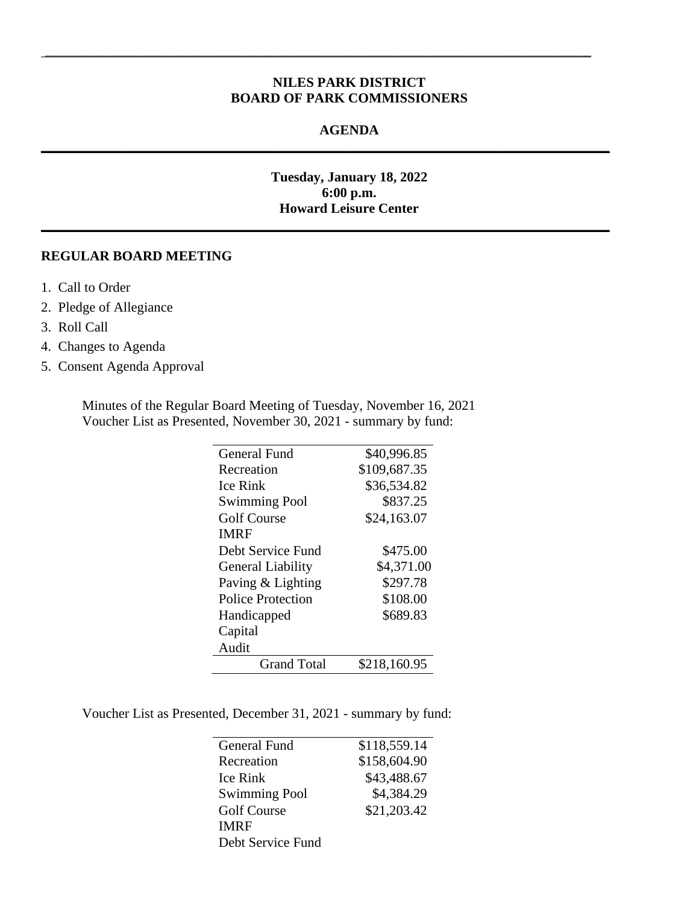### **NILES PARK DISTRICT BOARD OF PARK COMMISSIONERS**

\_\_\_\_\_\_\_\_\_\_\_\_\_\_\_\_\_\_\_\_\_\_\_\_\_\_\_\_\_\_\_\_\_\_\_\_\_\_\_\_\_\_\_\_\_\_\_\_\_\_\_\_\_\_\_\_\_\_\_\_\_\_\_\_\_\_\_\_\_\_\_\_\_\_\_\_\_\_\_\_\_\_\_\_\_\_\_

**\_\_\_\_\_\_\_\_\_\_\_\_\_\_\_\_\_\_\_\_\_\_\_\_\_\_\_\_\_\_\_\_\_\_\_\_\_\_\_\_\_\_\_\_\_\_\_\_\_\_\_\_\_\_\_\_\_\_\_\_\_\_\_\_\_\_\_\_\_\_\_\_\_\_\_\_\_\_\_\_\_\_\_**

**\_\_\_\_\_\_\_\_\_\_\_\_\_\_\_\_\_\_\_\_\_\_\_\_\_\_\_\_\_\_\_\_\_\_\_\_\_\_\_\_\_\_\_\_\_\_\_\_\_\_\_\_\_\_\_\_\_\_\_\_\_\_\_\_\_\_\_\_\_\_\_\_\_\_\_\_\_\_\_\_\_\_\_**

#### **AGENDA**

## **Tuesday, January 18, 2022 6:00 p.m. Howard Leisure Center**

### **REGULAR BOARD MEETING**

- 1. Call to Order
- 2. Pledge of Allegiance
- 3. Roll Call
- 4. Changes to Agenda
- 5. Consent Agenda Approval

Minutes of the Regular Board Meeting of Tuesday, November 16, 2021 Voucher List as Presented, November 30, 2021 - summary by fund:

| <b>General Fund</b>      | \$40,996.85  |
|--------------------------|--------------|
| Recreation               | \$109,687.35 |
| <b>Ice Rink</b>          | \$36,534.82  |
| <b>Swimming Pool</b>     | \$837.25     |
| <b>Golf Course</b>       | \$24,163.07  |
| <b>IMRF</b>              |              |
| Debt Service Fund        | \$475.00     |
| <b>General Liability</b> | \$4,371.00   |
| Paving & Lighting        | \$297.78     |
| Police Protection        | \$108.00     |
| Handicapped              | \$689.83     |
| Capital                  |              |
| Audit                    |              |
| <b>Grand Total</b>       | \$218,160.95 |

Voucher List as Presented, December 31, 2021 - summary by fund:

| General Fund         | \$118,559.14 |
|----------------------|--------------|
| Recreation           | \$158,604.90 |
| Ice Rink             | \$43,488.67  |
| <b>Swimming Pool</b> | \$4,384.29   |
| <b>Golf Course</b>   | \$21,203.42  |
| <b>IMRF</b>          |              |
| Debt Service Fund    |              |